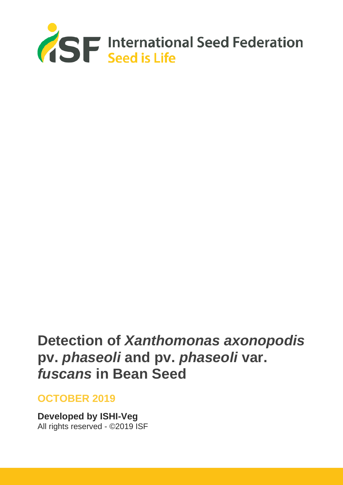

# **Detection of** *Xanthomonas axonopodis* **pv.** *phaseoli* **and pv.** *phaseoli* **var.**  *fuscans* **in Bean Seed**

## **OCTOBER 2019**

**Developed by ISHI-Veg** All rights reserved - ©2019 ISF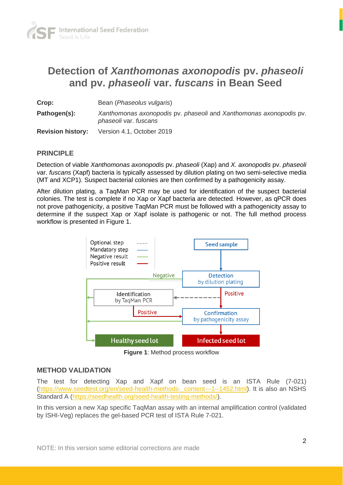

## **Detection of** *Xanthomonas axonopodis* **pv.** *phaseoli* **and pv.** *phaseoli* **var.** *fuscans* **in Bean Seed**

| Crop:                    | Bean ( <i>Phaseolus vulgaris</i> )                                                          |
|--------------------------|---------------------------------------------------------------------------------------------|
| Pathogen(s):             | Xanthomonas axonopodis pv. phaseoli and Xanthomonas axonopodis pv.<br>phaseoli var. fuscans |
| <b>Revision history:</b> | Version 4.1, October 2019                                                                   |

#### **PRINCIPLE**

Detection of viable *Xanthomonas axonopodis* pv. *phaseoli* (Xap) and *X. axonopodis* pv. *phaseoli*  var. *fuscans* (Xapf) bacteria is typically assessed by dilution plating on two semi-selective media (MT and XCP1). Suspect bacterial colonies are then confirmed by a pathogenicity assay.

After dilution plating, a TaqMan PCR may be used for identification of the suspect bacterial colonies. The test is complete if no Xap or Xapf bacteria are detected. However, as qPCR does not prove pathogenicity, a positive TaqMan PCR must be followed with a pathogenicity assay to determine if the suspect Xap or Xapf isolate is pathogenic or not. The full method process workflow is presented in Figure 1.



**Figure 1**: Method process workflow

#### **METHOD VALIDATION**

The test for detecting Xap and Xapf on bean seed is an ISTA Rule (7-021) (https://www.seedtest.org/en/seed-health-methods-\_content---1--1452.html). It is also an NSHS Standard A [\(https://seedhealth.org/seed-health-testing-methods/\)](https://seedhealth.org/seed-health-testing-methods/).

In this version a new Xap specific TaqMan assay with an internal amplification control (validated by ISHI-Veg) replaces the gel-based PCR test of ISTA Rule 7-021.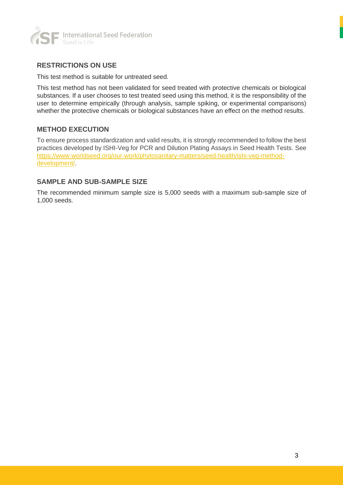

#### **RESTRICTIONS ON USE**

This test method is suitable for untreated seed.

This test method has not been validated for seed treated with protective chemicals or biological substances. If a user chooses to test treated seed using this method, it is the responsibility of the user to determine empirically (through analysis, sample spiking, or experimental comparisons) whether the protective chemicals or biological substances have an effect on the method results.

#### **METHOD EXECUTION**

To ensure process standardization and valid results, it is strongly recommended to follow the best practices developed by ISHI-Veg for PCR and Dilution Plating Assays in Seed Health Tests. See [https://www.worldseed.org/our-work/phytosanitary-matters/seed-health/ishi-veg-method](https://www.worldseed.org/our-work/phytosanitary-matters/seed-health/ishi-veg-method-development/)[development/.](https://www.worldseed.org/our-work/phytosanitary-matters/seed-health/ishi-veg-method-development/)

#### **SAMPLE AND SUB-SAMPLE SIZE**

The recommended minimum sample size is 5,000 seeds with a maximum sub-sample size of 1,000 seeds.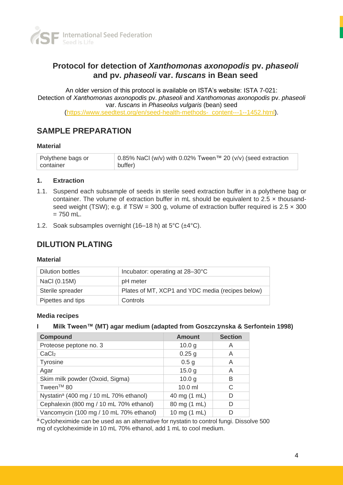

## **Protocol for detection of** *Xanthomonas axonopodis* **pv.** *phaseoli*  **and pv.** *phaseoli* **var.** *fuscans* **in Bean seed**

An older version of this protocol is available on ISTA's website: ISTA 7-021: Detection of *Xanthomonas axonopodis* pv. *phaseoli* and *Xanthomonas axonopodis* pv. *phaseoli* var. *fuscans* in *Phaseolus vulgaris* (bean) seed [\(https://www.seedtest.org/en/seed-health-methods-\\_content---1--1452.html\)](https://www.seedtest.org/en/seed-health-methods-_content---1--1452.html).

## **SAMPLE PREPARATION**

#### **Material**

| Polythene bags or | 0.85% NaCl (w/v) with 0.02% Tween™ 20 (v/v) (seed extraction |
|-------------------|--------------------------------------------------------------|
| container         | buffer)                                                      |

#### **1. Extraction**

- 1.1. Suspend each subsample of seeds in sterile seed extraction buffer in a polythene bag or container. The volume of extraction buffer in mL should be equivalent to  $2.5 \times$  thousandseed weight (TSW); e.g. if TSW = 300 g, volume of extraction buffer required is  $2.5 \times 300$  $= 750$  mL.
- 1.2. Soak subsamples overnight (16–18 h) at 5°C (±4°C).

### **DILUTION PLATING**

#### **Material**

| <b>Dilution bottles</b> | Incubator: operating at 28-30°C                  |
|-------------------------|--------------------------------------------------|
| NaCI (0.15M)            | pH meter                                         |
| Sterile spreader        | Plates of MT, XCP1 and YDC media (recipes below) |
| Pipettes and tips       | Controls                                         |

#### **Media recipes**

#### **I Milk Tween™ (MT) agar medium (adapted from Goszczynska & Serfontein 1998)**

| <b>Compound</b>                                    | <b>Amount</b>     | <b>Section</b> |
|----------------------------------------------------|-------------------|----------------|
| Proteose peptone no. 3                             | 10.0 <sub>g</sub> | A              |
| CaCl <sub>2</sub>                                  | $0.25$ g          | A              |
| Tyrosine                                           | 0.5 <sub>g</sub>  | Α              |
| Agar                                               | 15.0 g            | A              |
| Skim milk powder (Oxoid, Sigma)                    | 10.0 <sub>q</sub> | B              |
| Tween <sup>™</sup> 80                              | $10.0$ ml         | C              |
| Nystatin <sup>a</sup> (400 mg / 10 mL 70% ethanol) | 40 mg (1 mL)      | D              |
| Cephalexin (800 mg / 10 mL 70% ethanol)            | 80 mg (1 mL)      | D              |
| Vancomycin (100 mg / 10 mL 70% ethanol)            | 10 mg (1 mL)      | D              |

a Cycloheximide can be used as an alternative for nystatin to control fungi. Dissolve 500 mg of cycloheximide in 10 mL 70% ethanol, add 1 mL to cool medium.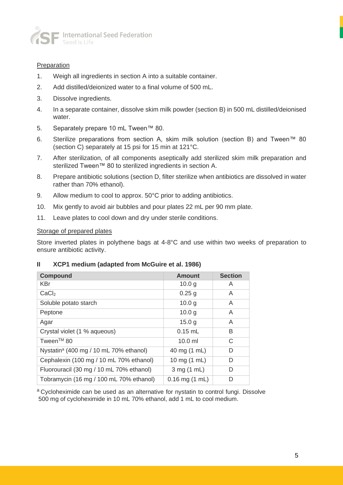

#### **Preparation**

- 1. Weigh all ingredients in section A into a suitable container.
- 2. Add distilled/deionized water to a final volume of 500 mL.
- 3. Dissolve ingredients.
- 4. In a separate container, dissolve skim milk powder (section B) in 500 mL distilled/deionised water.
- 5. Separately prepare 10 mL Tween™ 80.
- 6. Sterilize preparations from section A, skim milk solution (section B) and Tween™ 80 (section C) separately at 15 psi for 15 min at 121°C.
- 7. After sterilization, of all components aseptically add sterilized skim milk preparation and sterilized Tween™ 80 to sterilized ingredients in section A.
- 8. Prepare antibiotic solutions (section D, filter sterilize when antibiotics are dissolved in water rather than 70% ethanol).
- 9. Allow medium to cool to approx. 50°C prior to adding antibiotics.
- 10. Mix gently to avoid air bubbles and pour plates 22 mL per 90 mm plate.
- 11. Leave plates to cool down and dry under sterile conditions.

#### Storage of prepared plates

Store inverted plates in polythene bags at 4-8°C and use within two weeks of preparation to ensure antibiotic activity.

#### **II XCP1 medium (adapted from McGuire et al. 1986)**

| <b>Compound</b>                                    | <b>Amount</b>              | <b>Section</b> |
|----------------------------------------------------|----------------------------|----------------|
| <b>KBr</b>                                         | 10.0 <sub>g</sub>          | A              |
| CaCl <sub>2</sub>                                  | $0.25$ g                   | A              |
| Soluble potato starch                              | 10.0 <sub>g</sub>          | A              |
| Peptone                                            | 10.0 <sub>g</sub>          | A              |
| Agar                                               | 15.0 g                     | A              |
| Crystal violet (1 % aqueous)                       | $0.15$ mL                  | B              |
| Tween <sup>™</sup> 80                              | $10.0$ ml                  | C              |
| Nystatin <sup>a</sup> (400 mg / 10 mL 70% ethanol) | 40 mg (1 mL)               | D              |
| Cephalexin (100 mg / 10 mL 70% ethanol)            | 10 mg (1 mL)               | D              |
| Fluorouracil (30 mg / 10 mL 70% ethanol)           | 3 mg (1 mL)                | D              |
| Tobramycin (16 mg / 100 mL 70% ethanol)            | $0.16$ mg $(1 \text{ mL})$ | D              |

a Cycloheximide can be used as an alternative for nystatin to control fungi. Dissolve 500 mg of cycloheximide in 10 mL 70% ethanol, add 1 mL to cool medium.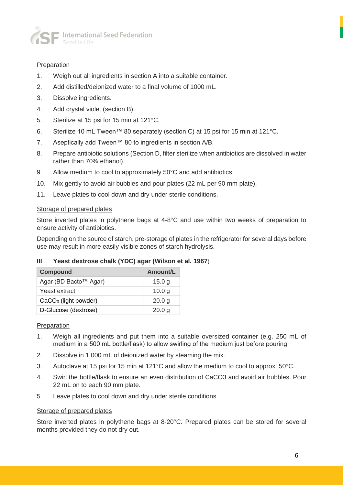

#### **Preparation**

- 1. Weigh out all ingredients in section A into a suitable container.
- 2. Add distilled/deionized water to a final volume of 1000 mL.
- 3. Dissolve ingredients.
- 4. Add crystal violet (section B).
- 5. Sterilize at 15 psi for 15 min at 121°C.
- 6. Sterilize 10 mL Tween™ 80 separately (section C) at 15 psi for 15 min at 121°C.
- 7. Aseptically add Tween™ 80 to ingredients in section A/B.
- 8. Prepare antibiotic solutions (Section D, filter sterilize when antibiotics are dissolved in water rather than 70% ethanol).
- 9. Allow medium to cool to approximately 50°C and add antibiotics.
- 10. Mix gently to avoid air bubbles and pour plates (22 mL per 90 mm plate).
- 11. Leave plates to cool down and dry under sterile conditions.

#### Storage of prepared plates

Store inverted plates in polythene bags at 4-8°C and use within two weeks of preparation to ensure activity of antibiotics.

Depending on the source of starch, pre-storage of plates in the refrigerator for several days before use may result in more easily visible zones of starch hydrolysis.

#### **III Yeast dextrose chalk (YDC) agar (Wilson et al. 1967**)

| <b>Compound</b>        | Amount/L          |
|------------------------|-------------------|
| Agar (BD Bacto™ Agar)  | 15.0 g            |
| Yeast extract          | 10.0 g            |
| $CaCO3$ (light powder) | 20.0 <sub>q</sub> |
| D-Glucose (dextrose)   | 20.0 <sub>q</sub> |

#### **Preparation**

- 1. Weigh all ingredients and put them into a suitable oversized container (e.g. 250 mL of medium in a 500 mL bottle/flask) to allow swirling of the medium just before pouring.
- 2. Dissolve in 1,000 mL of deionized water by steaming the mix.
- 3. Autoclave at 15 psi for 15 min at 121°C and allow the medium to cool to approx. 50°C.
- 4. Swirl the bottle/flask to ensure an even distribution of CaCO3 and avoid air bubbles. Pour 22 mL on to each 90 mm plate.
- 5. Leave plates to cool down and dry under sterile conditions.

#### Storage of prepared plates

Store inverted plates in polythene bags at 8-20°C. Prepared plates can be stored for several months provided they do not dry out.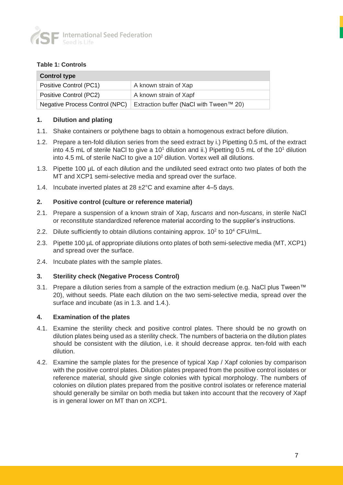

#### **Table 1: Controls**

| <b>Control type</b>            |                                         |  |  |
|--------------------------------|-----------------------------------------|--|--|
| Positive Control (PC1)         | A known strain of Xap                   |  |  |
| Positive Control (PC2)         | A known strain of Xapf                  |  |  |
| Negative Process Control (NPC) | Extraction buffer (NaCl with Tween™ 20) |  |  |

#### **1. Dilution and plating**

- 1.1. Shake containers or polythene bags to obtain a homogenous extract before dilution.
- 1.2. Prepare a ten-fold dilution series from the seed extract by i.) Pipetting 0.5 mL of the extract into 4.5 mL of sterile NaCl to give a  $10<sup>1</sup>$  dilution and ii.) Pipetting 0.5 mL of the 10<sup>1</sup> dilution into 4.5 mL of sterile NaCl to give a  $10<sup>2</sup>$  dilution. Vortex well all dilutions.
- 1.3. Pipette 100 µL of each dilution and the undiluted seed extract onto two plates of both the MT and XCP1 semi-selective media and spread over the surface.
- 1.4. Incubate inverted plates at 28 ±2°C and examine after 4–5 days.

#### **2. Positive control (culture or reference material)**

- 2.1. Prepare a suspension of a known strain of Xap, *fuscans* and non-*fuscans*, in sterile NaCl or reconstitute standardized reference material according to the supplier's instructions.
- 2.2. Dilute sufficiently to obtain dilutions containing approx.  $10^2$  to  $10^4$  CFU/mL.
- 2.3. Pipette 100 µL of appropriate dilutions onto plates of both semi-selective media (MT, XCP1) and spread over the surface.
- 2.4. Incubate plates with the sample plates.

#### **3. Sterility check (Negative Process Control)**

3.1. Prepare a dilution series from a sample of the extraction medium (e.g. NaCl plus Tween™ 20), without seeds. Plate each dilution on the two semi-selective media, spread over the surface and incubate (as in 1.3. and 1.4.).

#### **4. Examination of the plates**

- 4.1. Examine the sterility check and positive control plates. There should be no growth on dilution plates being used as a sterility check. The numbers of bacteria on the dilution plates should be consistent with the dilution, i.e. it should decrease approx. ten-fold with each dilution.
- 4.2. Examine the sample plates for the presence of typical Xap / Xapf colonies by comparison with the positive control plates. Dilution plates prepared from the positive control isolates or reference material, should give single colonies with typical morphology. The numbers of colonies on dilution plates prepared from the positive control isolates or reference material should generally be similar on both media but taken into account that the recovery of Xapf is in general lower on MT than on XCP1.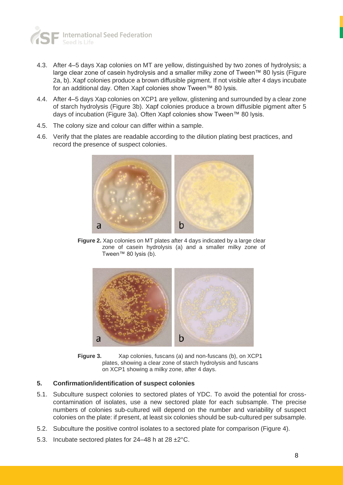

- 4.3. After 4–5 days Xap colonies on MT are yellow, distinguished by two zones of hydrolysis; a large clear zone of casein hydrolysis and a smaller milky zone of Tween™ 80 lysis (Figure 2a, b). Xapf colonies produce a brown diffusible pigment. If not visible after 4 days incubate for an additional day. Often Xapf colonies show Tween™ 80 lysis.
- 4.4. After 4–5 days Xap colonies on XCP1 are yellow, glistening and surrounded by a clear zone of starch hydrolysis (Figure 3b). Xapf colonies produce a brown diffusible pigment after 5 days of incubation (Figure 3a). Often Xapf colonies show Tween™ 80 lysis.
- 4.5. The colony size and colour can differ within a sample.
- 4.6. Verify that the plates are readable according to the dilution plating best practices, and record the presence of suspect colonies.



**Figure 2.** Xap colonies on MT plates after 4 days indicated by a large clear zone of casein hydrolysis (a) and a smaller milky zone of Tween™ 80 lysis (b).



**Figure 3.** Xap colonies, fuscans (a) and non-fuscans (b), on XCP1 plates, showing a clear zone of starch hydrolysis and fuscans on XCP1 showing a milky zone, after 4 days.

#### **5. Confirmation/identification of suspect colonies**

- 5.1. Subculture suspect colonies to sectored plates of YDC. To avoid the potential for crosscontamination of isolates, use a new sectored plate for each subsample. The precise numbers of colonies sub-cultured will depend on the number and variability of suspect colonies on the plate: if present, at least six colonies should be sub-cultured per subsample.
- 5.2. Subculture the positive control isolates to a sectored plate for comparison (Figure 4).
- 5.3. Incubate sectored plates for 24–48 h at  $28 \pm 2^{\circ}$ C.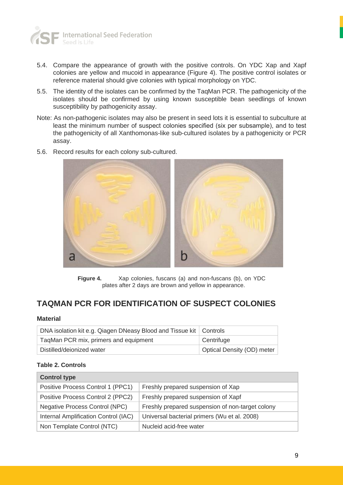

- 5.4. Compare the appearance of growth with the positive controls. On YDC Xap and Xapf colonies are yellow and mucoid in appearance (Figure 4). The positive control isolates or reference material should give colonies with typical morphology on YDC.
- 5.5. The identity of the isolates can be confirmed by the TaqMan PCR. The pathogenicity of the isolates should be confirmed by using known susceptible bean seedlings of known susceptibility by pathogenicity assay.
- Note: As non-pathogenic isolates may also be present in seed lots it is essential to subculture at least the minimum number of suspect colonies specified (six per subsample), and to test the pathogenicity of all Xanthomonas-like sub-cultured isolates by a pathogenicity or PCR assay.
- 5.6. Record results for each colony sub-cultured.



**Figure 4.** Xap colonies, fuscans (a) and non-fuscans (b), on YDC plates after 2 days are brown and yellow in appearance.

## **TAQMAN PCR FOR IDENTIFICATION OF SUSPECT COLONIES**

#### **Material**

| DNA isolation kit e.g. Qiagen DNeasy Blood and Tissue kit   Controls |                            |
|----------------------------------------------------------------------|----------------------------|
| TaqMan PCR mix, primers and equipment                                | Centrifuge                 |
| Distilled/deionized water                                            | Optical Density (OD) meter |

#### **Table 2. Controls**

| <b>Control type</b>                   |                                                  |
|---------------------------------------|--------------------------------------------------|
| Positive Process Control 1 (PPC1)     | Freshly prepared suspension of Xap               |
| Positive Process Control 2 (PPC2)     | Freshly prepared suspension of Xapf              |
| <b>Negative Process Control (NPC)</b> | Freshly prepared suspension of non-target colony |
| Internal Amplification Control (IAC)  | Universal bacterial primers (Wu et al. 2008)     |
| Non Template Control (NTC)            | Nucleid acid-free water                          |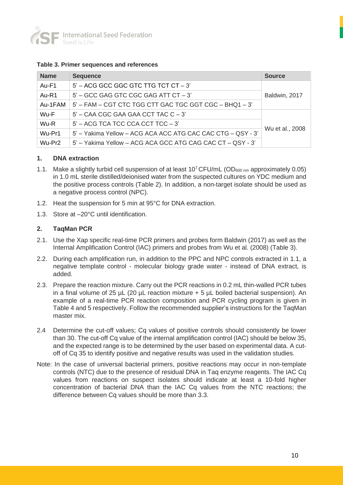

#### **Table 3. Primer sequences and references**

| <b>Name</b>        | <b>Sequence</b>                                             | <b>Source</b>   |
|--------------------|-------------------------------------------------------------|-----------------|
| Au-F1              | $5'$ – ACG GCC GGC GTC TTG TCT CT – 3'                      |                 |
| $Au-R1$            | $5'$ – GCC GAG GTC CGC GAG ATT CT – 3'                      | Baldwin, 2017   |
| Au-1FAM            | 5' - FAM - CGT CTC TGG CTT GAC TGC GGT CGC - BHQ1 - 3'      |                 |
| Wu-F               | $5'$ – CAA CGC GAA GAA CCT TAC C – 3'                       |                 |
| Wu-R               | $5'$ – ACG TCA TCC CCA CCT TCC – 3'                         | Wu et al., 2008 |
| Wu-Pr1             | 5' - Yakima Yellow - ACG ACA ACC ATG CAC CAC CTG - QSY - 3' |                 |
| Wu-Pr <sub>2</sub> | 5' - Yakima Yellow - ACG ACA GCC ATG CAG CAC CT - QSY - 3'  |                 |

#### **1. DNA extraction**

- 1.1. Make a slightly turbid cell suspension of at least  $10^7$  CFU/mL (OD<sub>600 nm</sub> approximately 0.05) in 1.0 mL sterile distilled/deionised water from the suspected cultures on YDC medium and the positive process controls (Table 2). In addition, a non-target isolate should be used as a negative process control (NPC).
- 1.2. Heat the suspension for 5 min at 95°C for DNA extraction.
- 1.3. Store at –20°C until identification.

#### **2. TaqMan PCR**

- 2.1. Use the Xap specific real-time PCR primers and probes form Baldwin (2017) as well as the Internal Amplification Control (IAC) primers and probes from Wu et al. (2008) (Table 3).
- 2.2. During each amplification run, in addition to the PPC and NPC controls extracted in 1.1, a negative template control - molecular biology grade water - instead of DNA extract, is added.
- 2.3. Prepare the reaction mixture. Carry out the PCR reactions in 0.2 mL thin-walled PCR tubes in a final volume of 25  $\mu$ L (20  $\mu$ L reaction mixture + 5  $\mu$ L boiled bacterial suspension). An example of a real-time PCR reaction composition and PCR cycling program is given in Table 4 and 5 respectively. Follow the recommended supplier's instructions for the TaqMan master mix.
- 2.4 Determine the cut-off values; Cq values of positive controls should consistently be lower than 30. The cut-off Cq value of the internal amplification control (IAC) should be below 35, and the expected range is to be determined by the user based on experimental data. A cutoff of Cq 35 to identify positive and negative results was used in the validation studies.
- Note: In the case of universal bacterial primers, positive reactions may occur in non-template controls (NTC) due to the presence of residual DNA in Taq enzyme reagents. The IAC Cq values from reactions on suspect isolates should indicate at least a 10-fold higher concentration of bacterial DNA than the IAC Cq values from the NTC reactions; the difference between Cq values should be more than 3.3.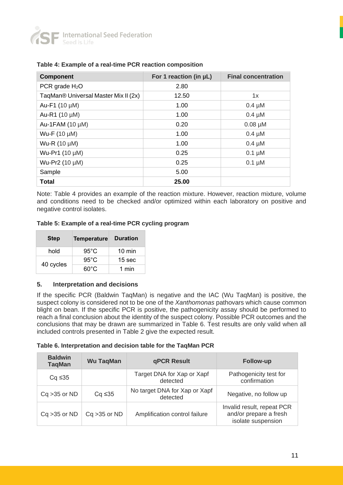

| <b>Component</b>                     | For 1 reaction (in µL) | <b>Final concentration</b> |
|--------------------------------------|------------------------|----------------------------|
| PCR grade $H_2O$                     | 2.80                   |                            |
| TagMan® Universal Master Mix II (2x) | 12.50                  | 1x                         |
| Au-F1 $(10 \mu M)$                   | 1.00                   | $0.4 \mu M$                |
| Au-R1 (10 µM)                        | 1.00                   | $0.4 \mu M$                |
| Au-1FAM (10 µM)                      | 0.20                   | $0.08 \mu M$               |
| Wu-F (10 µM)                         | 1.00                   | $0.4 \mu M$                |
| Wu-R (10 µM)                         | 1.00                   | $0.4 \mu M$                |
| Wu-Pr1 (10 µM)                       | 0.25                   | $0.1 \mu M$                |
| Wu-Pr2 (10 µM)                       | 0.25                   | $0.1 \mu M$                |
| Sample                               | 5.00                   |                            |
| Total                                | 25.00                  |                            |

#### **Table 4: Example of a real-time PCR reaction composition**

Note: Table 4 provides an example of the reaction mixture. However, reaction mixture, volume and conditions need to be checked and/or optimized within each laboratory on positive and negative control isolates.

#### **Table 5: Example of a real-time PCR cycling program**

| <b>Step</b> | <b>Temperature</b> | <b>Duration</b>   |
|-------------|--------------------|-------------------|
| hold        | $95^{\circ}$ C     | $10 \text{ min}$  |
|             | $95^{\circ}$ C     | 15 <sub>sec</sub> |
| 40 cycles   | $60^{\circ}$ C     | 1 min             |

#### **5. Interpretation and decisions**

If the specific PCR (Baldwin TaqMan) is negative and the IAC (Wu TaqMan) is positive, the suspect colony is considered not to be one of the *Xanthomonas* pathovars which cause common blight on bean. If the specific PCR is positive, the pathogenicity assay should be performed to reach a final conclusion about the identity of the suspect colony. Possible PCR outcomes and the conclusions that may be drawn are summarized in Table 6. Test results are only valid when all included controls presented in Table 2 give the expected result.

#### **Table 6. Interpretation and decision table for the TaqMan PCR**

| <b>Baldwin</b><br><b>TaqMan</b> | <b>Wu TaqMan</b> | qPCR Result                               | <b>Follow-up</b>                                                           |
|---------------------------------|------------------|-------------------------------------------|----------------------------------------------------------------------------|
| $Cq \leq 35$                    |                  | Target DNA for Xap or Xapf<br>detected    | Pathogenicity test for<br>confirmation                                     |
| $Cq > 35$ or ND                 | $Cq \leq 35$     | No target DNA for Xap or Xapf<br>detected | Negative, no follow up                                                     |
| $Cq > 35$ or ND                 | $Cq > 35$ or ND  | Amplification control failure             | Invalid result, repeat PCR<br>and/or prepare a fresh<br>isolate suspension |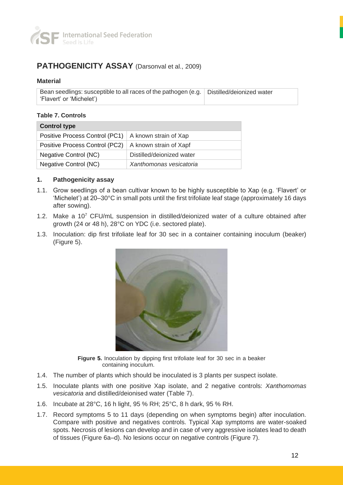

## **PATHOGENICITY ASSAY** (Darsonval et al., 2009)

#### **Material**

Bean seedlings: susceptible to all races of the pathogen (e.g. Distilled/deionized water 'Flavert' or 'Michelet')

#### **Table 7. Controls**

| <b>Control type</b>                                     |                           |  |  |  |
|---------------------------------------------------------|---------------------------|--|--|--|
| Positive Process Control (PC1)   A known strain of Xap  |                           |  |  |  |
| Positive Process Control (PC2)   A known strain of Xapf |                           |  |  |  |
| Negative Control (NC)                                   | Distilled/deionized water |  |  |  |
| Negative Control (NC)                                   | Xanthomonas vesicatoria   |  |  |  |

#### **1. Pathogenicity assay**

- 1.1. Grow seedlings of a bean cultivar known to be highly susceptible to Xap (e.g. 'Flavert' or 'Michelet') at 20–30°C in small pots until the first trifoliate leaf stage (approximately 16 days after sowing).
- 1.2. Make a  $10<sup>7</sup>$  CFU/mL suspension in distilled/deionized water of a culture obtained after growth (24 or 48 h), 28°C on YDC (i.e. sectored plate).
- 1.3. Inoculation: dip first trifoliate leaf for 30 sec in a container containing inoculum (beaker) (Figure 5).



**Figure 5.** Inoculation by dipping first trifoliate leaf for 30 sec in a beaker containing inoculum.

- 1.4. The number of plants which should be inoculated is 3 plants per suspect isolate.
- 1.5. Inoculate plants with one positive Xap isolate, and 2 negative controls: *Xanthomomas vesicatoria* and distilled/deionised water (Table 7).
- 1.6. Incubate at 28°C, 16 h light, 95 % RH; 25°C, 8 h dark, 95 % RH.
- 1.7. Record symptoms 5 to 11 days (depending on when symptoms begin) after inoculation. Compare with positive and negatives controls. Typical Xap symptoms are water-soaked spots. Necrosis of lesions can develop and in case of very aggressive isolates lead to death of tissues (Figure 6a–d). No lesions occur on negative controls (Figure 7).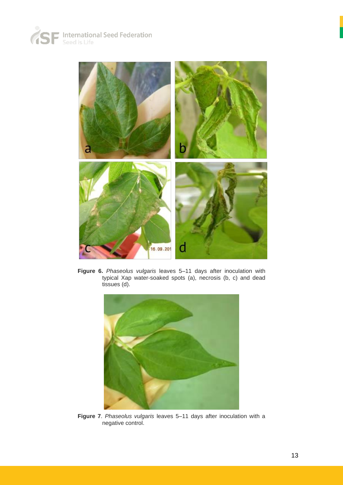



**Figure 6.** *Phaseolus vulgaris* leaves 5–11 days after inoculation with typical Xap water-soaked spots (a), necrosis (b, c) and dead tissues (d).



**Figure 7**. *Phaseolus vulgaris* leaves 5–11 days after inoculation with a negative control.